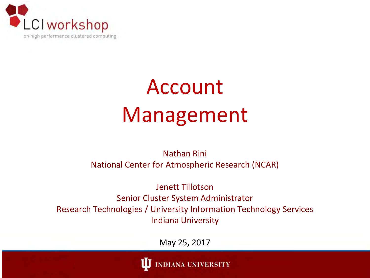

#### Account Management

Nathan Rini National Center for Atmospheric Research (NCAR)

Jenett Tillotson Senior Cluster System Administrator Research Technologies / University Information Technology Services Indiana University

May 25, 2017

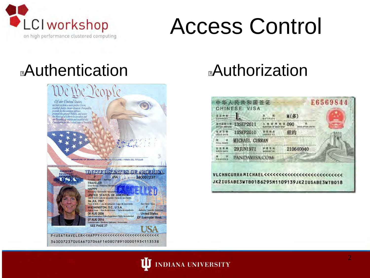

#### Access Control

#### **Authentication Authorization**





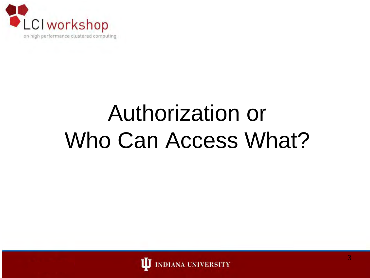

## Authorization or Who Can Access What?

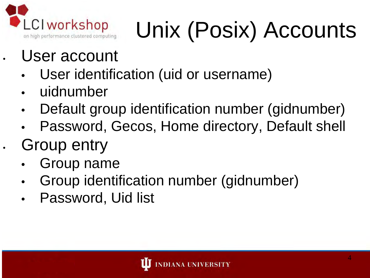

# Unix (Posix) Accounts

- User account
	- User identification (uid or username)
	- uidnumber
	- Default group identification number (gidnumber)
	- Password, Gecos, Home directory, Default shell
- Group entry
	- Group name
	- Group identification number (gidnumber)
	- Password, Uid list

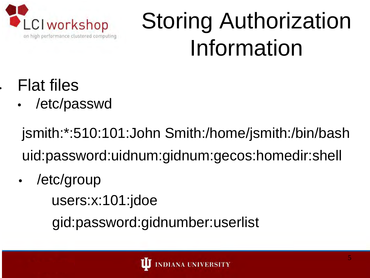

## Storing Authorization Information

- **Flat files** 
	- /etc/passwd

jsmith:\*:510:101:John Smith:/home/jsmith:/bin/bash uid:password:uidnum:gidnum:gecos:homedir:shell

/etc/group users:x:101:jdoe gid:password:gidnumber:userlist

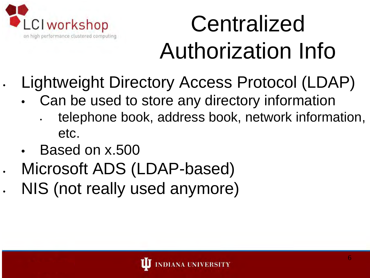

## **Centralized** Authorization Info

- Lightweight Directory Access Protocol (LDAP)
	- Can be used to store any directory information
		- telephone book, address book, network information, etc.
	- Based on x.500
- Microsoft ADS (LDAP-based)
- NIS (not really used anymore)

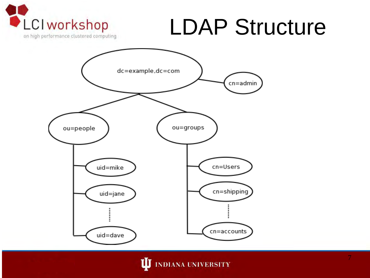

#### LDAP Structure



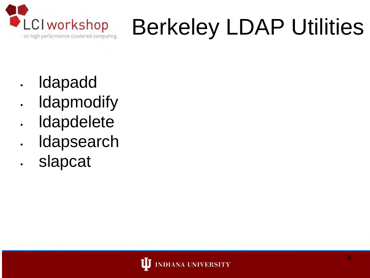

## Berkeley LDAP Utilities

- ldapadd
- **Idapmodify**
- **Idapdelete**
- **Idapsearch**
- slapcat

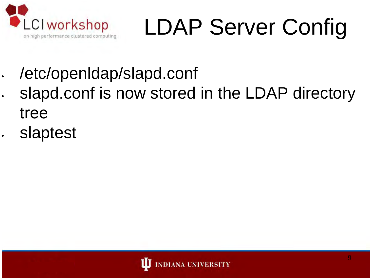

# LDAP Server Config

- /etc/openldap/slapd.conf
- slapd.conf is now stored in the LDAP directory tree
- slaptest

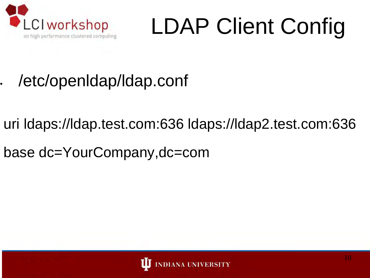

# LDAP Client Config

- /etc/openldap/ldap.conf
- uri ldaps://ldap.test.com:636 ldaps://ldap2.test.com:636
- base dc=YourCompany,dc=com

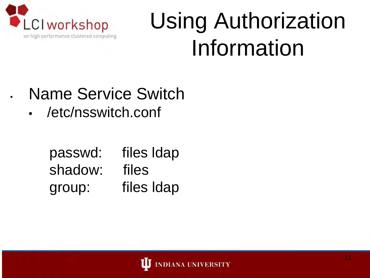

#### Using Authorization Information

- Name Service Switch
	- /etc/nsswitch.conf

passwd: files ldap shadow: files group: files ldap

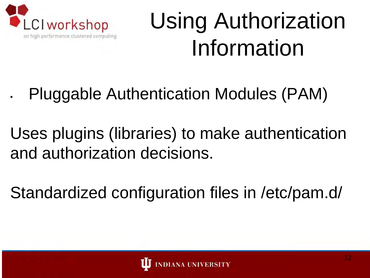

## Using Authorization Information

- Pluggable Authentication Modules (PAM)
- Uses plugins (libraries) to make authentication and authorization decisions.
- Standardized configuration files in /etc/pam.d/

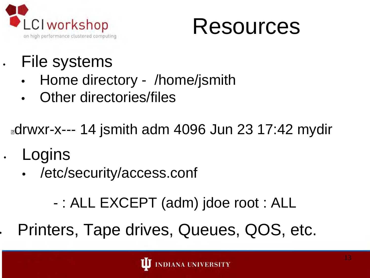



#### File systems

- Home directory /home/jsmith
- **Other directories/files**

**adrwxr-x--- 14 jsmith adm 4096 Jun 23 17:42 mydir** 

- **Logins** 
	- /etc/security/access.conf
		- : ALL EXCEPT (adm) jdoe root : ALL
- Printers, Tape drives, Queues, QOS, etc.

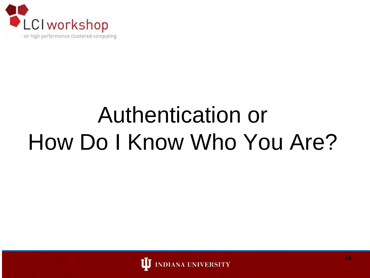

## Authentication or How Do I Know Who You Are?

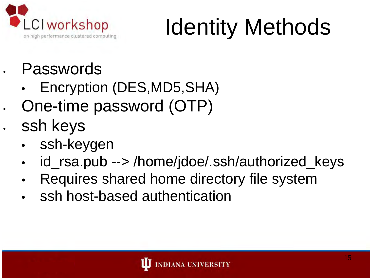

## Identity Methods

- **Passwords** 
	- Encryption (DES,MD5,SHA)
- One-time password (OTP)
- ssh keys
	- ssh-keygen
	- id\_rsa.pub --> /home/jdoe/.ssh/authorized\_keys
	- Requires shared home directory file system
	- ssh host-based authentication

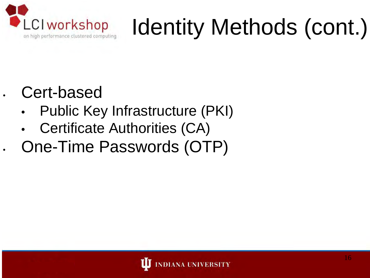

## Identity Methods (cont.)

#### • Cert-based

- Public Key Infrastructure (PKI)
- Certificate Authorities (CA)
- One-Time Passwords (OTP)

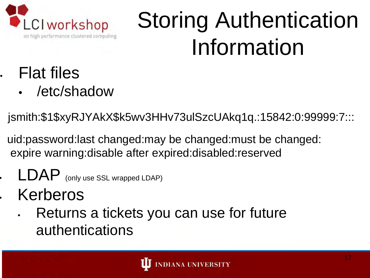

## Storing Authentication Information

- Flat files
	- /etc/shadow

jsmith:\$1\$xyRJYAkX\$k5wv3HHv73ulSzcUAkq1q.:15842:0:99999:7:::

- uid:password:last changed:may be changed:must be changed: expire warning:disable after expired:disabled:reserved
- LDAP (only use SSL wrapped LDAP)
- **Kerberos** 
	- Returns a tickets you can use for future authentications

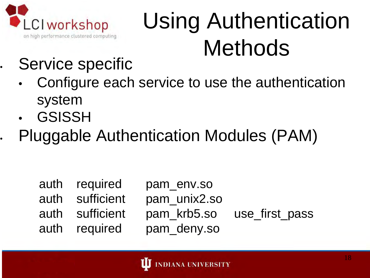

## Using Authentication Methods

#### Service specific

- Configure each service to use the authentication system
- **GSISSH**
- Pluggable Authentication Modules (PAM)

| auth required   | pam_env.so   |                            |
|-----------------|--------------|----------------------------|
| auth sufficient | pam_unix2.so |                            |
| auth sufficient |              | pam_krb5.so use_first_pass |
| auth required   | pam_deny.so  |                            |

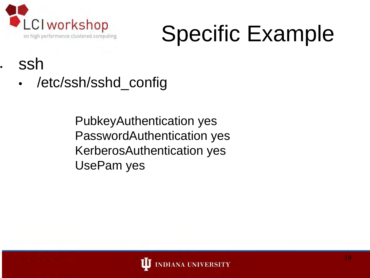

#### Specific Example

#### ssh

/etc/ssh/sshd\_config

PubkeyAuthentication yes PasswordAuthentication yes KerberosAuthentication yes UsePam yes

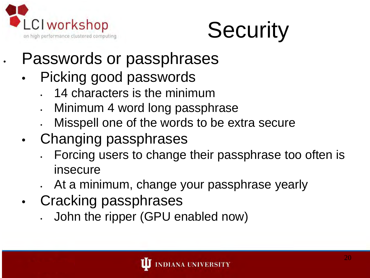



- Passwords or passphrases
- Picking good passwords
	- 14 characters is the minimum
	- Minimum 4 word long passphrase
	- Misspell one of the words to be extra secure
- Changing passphrases
	- Forcing users to change their passphrase too often is insecure
	- At a minimum, change your passphrase yearly
- Cracking passphrases
	- John the ripper (GPU enabled now)